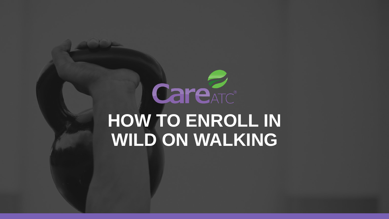

## **HOW TO ENROLL IN WILD ON WALKING**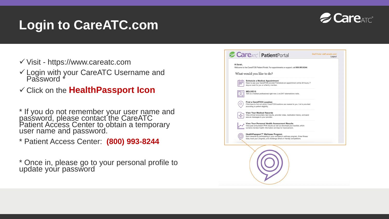## **Login to CareATC.com**



- Visit https://www.careatc.com
- Login with your CareATC Username and Password<sup>\*</sup>
- Click on the **HealthPassport Icon**

\* If you do not remember your user name and password, please contact the CareATC Patient Access Center to obtain a temporary user name and password.

- \* Patient Access Center: **(800) 993-8244**
- \* Once in, please go to your personal profile to update your password

| Hi Sarah,                   | Welcome to the CareATC® Patient Portal. For appointments or support, call 800.993.8244.                                                                                                          |  |
|-----------------------------|--------------------------------------------------------------------------------------------------------------------------------------------------------------------------------------------------|--|
|                             | What would you like to do?                                                                                                                                                                       |  |
| <u>tener</u><br>0000<br>000 | <b>Schedule a Medical Appointment</b><br>Need to see your CareATC® provider? Schedule an appointment online 24 hours, 7<br>days a week for you or a family member.                               |  |
|                             | <b>MDLIVE</b> <sup>®</sup><br>Talk to a medical professional right now. Live 24/7 telemedicine visits.                                                                                           |  |
|                             | Find a CareATC® Location<br>Click here to find out which CareATC® locations are nearest to you. List is provided<br>according to patient eligibilty.                                             |  |
|                             | <b>View Your Medical Records</b><br>View clinical encounters, test results, provider notes, medication history, and send<br>secure messages to your provider.                                    |  |
|                             | View Your Personal Health Assessment Results<br>View past and present PHA results as well as download your booklet, which<br>contains trended health information and tips for improvement.       |  |
|                             | HealthPassport™ Wellness Program<br>Earn rewards by participating in your company's wellness program. Enter fitness<br>data, track your progress, and challenge others in friendly competitions. |  |
|                             |                                                                                                                                                                                                  |  |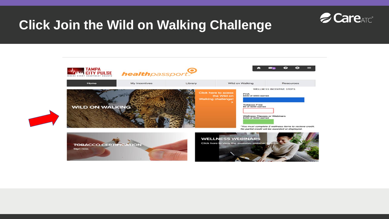## **Click Join the Wild on Walking Challenge**



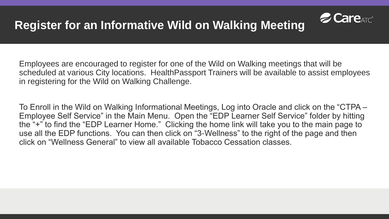## **Register for an Informative Wild on Walking Meeting**



Employees are encouraged to register for one of the Wild on Walking meetings that will be scheduled at various City locations. HealthPassport Trainers will be available to assist employees in registering for the Wild on Walking Challenge.

To Enroll in the Wild on Walking Informational Meetings, Log into Oracle and click on the "CTPA – Employee Self Service" in the Main Menu. Open the "EDP Learner Self Service" folder by hitting the "+" to find the "EDP Learner Home." Clicking the home link will take you to the main page to use all the EDP functions. You can then click on "3-Wellness" to the right of the page and then click on "Wellness General" to view all available Tobacco Cessation classes.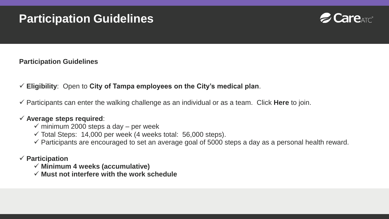## **Participation Guidelines**



#### **Participation Guidelines**

- **Eligibility**: Open to **City of Tampa employees on the City's medical plan**.
- Participants can enter the walking challenge as an individual or as a team. Click **Here** to join.

#### **Average steps required**:

- $\checkmark$  minimum 2000 steps a day per week
- $\checkmark$  Total Steps: 14,000 per week (4 weeks total: 56,000 steps).
- $\checkmark$  Participants are encouraged to set an average goal of 5000 steps a day as a personal health reward.
- **Participation**
	- **Minimum 4 weeks (accumulative)**
	- **Must not interfere with the work schedule**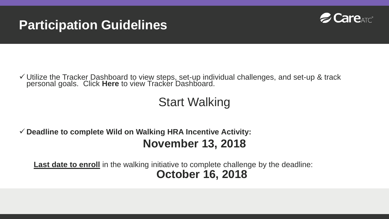## **Participation Guidelines**



 Utilize the Tracker Dashboard to view steps, set-up individual challenges, and set-up & track personal goals. Click **Here** to view Tracker Dashboard.

## Start Walking

### **Deadline to complete Wild on Walking HRA Incentive Activity: November 13, 2018**

**Last date to enroll** in the walking initiative to complete challenge by the deadline: **October 16, 2018**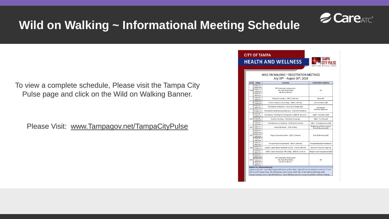

## **Wild on Walking ~ Informational Meeting Schedule**

To view a complete schedule, Please visit the Tampa City Pulse page and click on the Wild on Walking Banner.

Please Visit: [www.Tampagov.net/TampaCityPulse](http://www.tampagov.net/TampaCityPulse)

| WILD ON WALKING ~ REGISTRATION MEETINGS<br>July 30 <sup>th</sup> - August 10 <sup>th</sup> , 2018 |                           |                                                                                                                                                                 |                                                       |  |
|---------------------------------------------------------------------------------------------------|---------------------------|-----------------------------------------------------------------------------------------------------------------------------------------------------------------|-------------------------------------------------------|--|
| DATE                                                                                              | TIME(S)                   | <b>LOCATION</b>                                                                                                                                                 | <b>DEPARTMENT TARGETED</b>                            |  |
|                                                                                                   | 8:00 a.m. -               |                                                                                                                                                                 |                                                       |  |
|                                                                                                   | 10:00 a.m.                | <b>TPD Downtown Headquarters</b>                                                                                                                                |                                                       |  |
| 7/30                                                                                              | $11:00$ a.m.              | 6th Floor Break Room                                                                                                                                            | AII                                                   |  |
|                                                                                                   | 1:00 p.m.                 | 411 N. Franklin St.                                                                                                                                             |                                                       |  |
|                                                                                                   | 2:00 p.m. -               |                                                                                                                                                                 |                                                       |  |
|                                                                                                   | 4:00 p.m.                 |                                                                                                                                                                 |                                                       |  |
|                                                                                                   | 7:00 a.m. -               | Water Distribution - 3901 E. 26th Ave.                                                                                                                          | Water/All                                             |  |
| 7/31                                                                                              | 9:00 a.m.                 |                                                                                                                                                                 |                                                       |  |
|                                                                                                   | 10:00 a.m.                | Contract Administration Bldg. - 3808 E. 26th Ave.                                                                                                               | Contract Admin./All                                   |  |
|                                                                                                   | 12:00 p.m.                |                                                                                                                                                                 |                                                       |  |
| 8/1                                                                                               | 700 a.m.                  | Wastewater Collections - 2515 Guy N. Verger Blvd.                                                                                                               | Wastewater<br><b>Port Pass Required</b>               |  |
|                                                                                                   | 9:00 a.m.                 |                                                                                                                                                                 |                                                       |  |
|                                                                                                   | 10:30 a.m.                | Wastewater Maintenance/Operations - 2700 Maritime Blvd.                                                                                                         |                                                       |  |
|                                                                                                   | 12:30 p.m.                |                                                                                                                                                                 |                                                       |  |
|                                                                                                   | 6:00 a.m. -               | Solid Waste - Building IV Training Room - 4010 W. Spruce St.                                                                                                    | LAMD ~ Solid Waste/All                                |  |
|                                                                                                   | 8:00 a.m.                 |                                                                                                                                                                 |                                                       |  |
| 8/2                                                                                               | $9:30 a.m. -$             | Facilities Building - 1550 North Grady Ave.                                                                                                                     | LAMD ~ Facilities/All<br>LAMD ~ Fleet Maintenance/All |  |
|                                                                                                   | 11:30 a.m.                |                                                                                                                                                                 |                                                       |  |
|                                                                                                   | 1:00 p.m. -               | Fleet Maintenance Building - 1508 North Clark Ave.                                                                                                              |                                                       |  |
|                                                                                                   | 3:00 p.m.                 |                                                                                                                                                                 |                                                       |  |
| 8/6                                                                                               | 7:00 a.m. -               | Lowry Sub-Station - 7525 N. Blvd.                                                                                                                               | Neighborhood Enhancement/                             |  |
|                                                                                                   | 9:00 a.m.                 |                                                                                                                                                                 | Parks & Recreation/All                                |  |
|                                                                                                   | 8:00 a.m. -               |                                                                                                                                                                 | Parks & Recreation/All                                |  |
|                                                                                                   | 10:00 a.m.                |                                                                                                                                                                 |                                                       |  |
| 8/7                                                                                               | 11:00 a.m.                | Ragan Community Center - 1200 E. Lake Ave.                                                                                                                      |                                                       |  |
|                                                                                                   | 1:00 p.m.                 |                                                                                                                                                                 |                                                       |  |
|                                                                                                   | 2:00 p.m. -               |                                                                                                                                                                 |                                                       |  |
|                                                                                                   | 4:00 p.m.                 |                                                                                                                                                                 |                                                       |  |
| 8/8                                                                                               | 7:00 a.m. -               | Transportation & Stormwater - 3804 E. 26th Ave.                                                                                                                 | Transportation/Stormwater/All                         |  |
|                                                                                                   | 9:00 a.m.                 |                                                                                                                                                                 |                                                       |  |
|                                                                                                   | 10:30 a.m.                | David L. Tippin Water Treatment Facility - 7125 N. 30ht Ave.                                                                                                    | <b>Water/Facility Pass Required</b>                   |  |
|                                                                                                   | 12:30 p.m.                |                                                                                                                                                                 |                                                       |  |
|                                                                                                   | 2:00 p.m. -               | LMOB ~ Lemon Municipal Office Bldg. - 4900 W. Lemon St.                                                                                                         | Neighborhood Empowerment/All                          |  |
|                                                                                                   | 4:00 p.m.                 |                                                                                                                                                                 |                                                       |  |
|                                                                                                   | 8:00 a.m. -<br>10:00 a.m. |                                                                                                                                                                 |                                                       |  |
|                                                                                                   |                           | <b>TPD Downtown Headquarters</b>                                                                                                                                |                                                       |  |
| 8/9                                                                                               | 11:00 a.m.                | 6th Floor Break Room                                                                                                                                            | ΑH                                                    |  |
|                                                                                                   | 1:00 p.m.                 | 411 N. Franklin St.                                                                                                                                             |                                                       |  |
|                                                                                                   | $2:00 p.m. -$             |                                                                                                                                                                 |                                                       |  |
|                                                                                                   | 4:00 p.m.                 |                                                                                                                                                                 |                                                       |  |
|                                                                                                   |                           | <b>Register for a Scheduled Meeting</b><br>Log into Oracle EDP - click CTPA Employee Self Service on Main Menu. Open EDP Learner Self Service and click "+" and |                                                       |  |